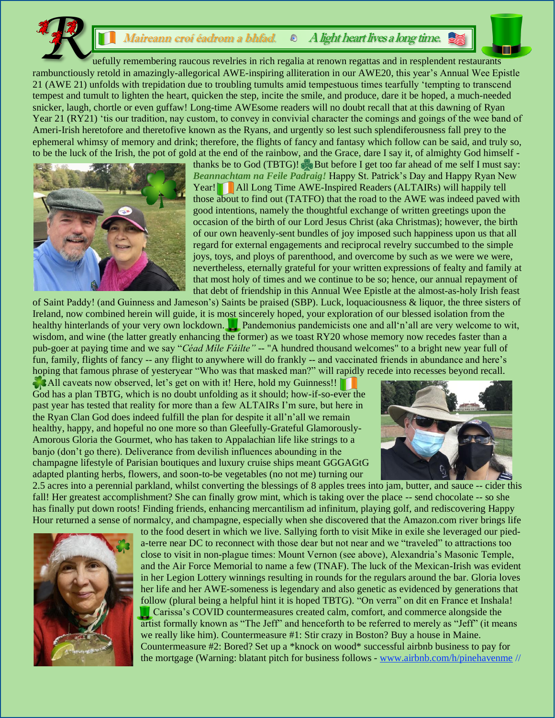## *Maireann croí éadrom a bhfad.*  $\circ$  *A light heart lives a long time.*

 uefully remembering raucous revelries in rich regalia at renown regattas and in resplendent restaurants rambunctiously retold in amazingly-allegorical AWE-inspiring alliteration in our AWE20, this year's Annual Wee Epistle 21 (AWE 21) unfolds with trepidation due to troubling tumults amid tempestuous times tearfully 'tempting to transcend tempest and tumult to lighten the heart, quicken the step, incite the smile, and produce, dare it be hoped, a much-needed snicker, laugh, chortle or even guffaw! Long-time AWEsome readers will no doubt recall that at this dawning of Ryan Year 21 (RY21) 'tis our tradition, nay custom, to convey in convivial character the comings and goings of the wee band of Ameri-Irish heretofore and theretofive known as the Ryans, and urgently so lest such splendiferousness fall prey to the ephemeral whimsy of memory and drink; therefore, the flights of fancy and fantasy which follow can be said, and truly so, to be the luck of the Irish, the pot of gold at the end of the rainbow, and the Grace, dare I say it, of almighty God himself -



thanks be to God (TBTG)! But before I get too far ahead of me self I must say: *Beannachtam na Feile Padraig!* Happy St. Patrick's Day and Happy Ryan New Year! All Long Time AWE-Inspired Readers (ALTAIRs) will happily tell those about to find out (TATFO) that the road to the AWE was indeed paved with good intentions, namely the thoughtful exchange of written greetings upon the occasion of the birth of our Lord Jesus Christ (aka Christmas); however, the birth of our own heavenly-sent bundles of joy imposed such happiness upon us that all regard for external engagements and reciprocal revelry succumbed to the simple joys, toys, and ploys of parenthood, and overcome by such as we were we were, nevertheless, eternally grateful for your written expressions of fealty and family at that most holy of times and we continue to be so; hence, our annual repayment of that debt of friendship in this Annual Wee Epistle at the almost-as-holy Irish feast

of Saint Paddy! (and Guinness and Jameson's) Saints be praised (SBP). Luck, loquaciousness & liquor, the three sisters of Ireland, now combined herein will guide, it is most sincerely hoped, your exploration of our blessed isolation from the healthy hinterlands of your very own lockdown. Pandemonius pandemicists one and all'n'all are very welcome to wit, wisdom, and wine (the latter greatly enhancing the former) as we toast RY20 whose memory now recedes faster than a pub-goer at paying time and we say "*Céad Míle Fáilte"* -- "A hundred thousand welcomes" to a bright new year full of fun, family, flights of fancy -- any flight to anywhere will do frankly -- and vaccinated friends in abundance and here's hoping that famous phrase of yesteryear "Who was that masked man?" will rapidly recede into recesses beyond recall.

All caveats now observed, let's get on with it! Here, hold my Guinness!! God has a plan TBTG, which is no doubt unfolding as it should; how-if-so-ever the past year has tested that reality for more than a few ALTAIRs I'm sure, but here in the Ryan Clan God does indeed fulfill the plan for despite it all'n'all we remain healthy, happy, and hopeful no one more so than Gleefully-Grateful Glamorously-Amorous Gloria the Gourmet, who has taken to Appalachian life like strings to a banjo (don't go there). Deliverance from devilish influences abounding in the champagne lifestyle of Parisian boutiques and luxury cruise ships meant GGGAGtG adapted planting herbs, flowers, and soon-to-be vegetables (no not me) turning our



2.5 acres into a perennial parkland, whilst converting the blessings of 8 apples trees into jam, butter, and sauce -- cider this fall! Her greatest accomplishment? She can finally grow mint, which is taking over the place -- send chocolate -- so she has finally put down roots! Finding friends, enhancing mercantilism ad infinitum, playing golf, and rediscovering Happy Hour returned a sense of normalcy, and champagne, especially when she discovered that the Amazon.com river brings life



to the food desert in which we live. Sallying forth to visit Mike in exile she leveraged our pieda-terre near DC to reconnect with those dear but not near and we "traveled" to attractions too close to visit in non-plague times: Mount Vernon (see above), Alexandria's Masonic Temple, and the Air Force Memorial to name a few (TNAF). The luck of the Mexican-Irish was evident in her Legion Lottery winnings resulting in rounds for the regulars around the bar. Gloria loves her life and her AWE-someness is legendary and also genetic as evidenced by generations that follow (plural being a helpful hint it is hoped TBTG). "On verra" on dit en France et Inshala! Carissa's COVID countermeasures created calm, comfort, and commerce alongside the artist formally known as "The Jeff" and henceforth to be referred to merely as "Jeff" (it means we really like him). Countermeasure #1: Stir crazy in Boston? Buy a house in Maine. Countermeasure #2: Bored? Set up a \*knock on wood\* successful airbnb business to pay for the mortgage (Warning: blatant pitch for business follows - [www.airbnb.com/h/pinehavenme](http://www.airbnb.com/h/pinehavenme) //